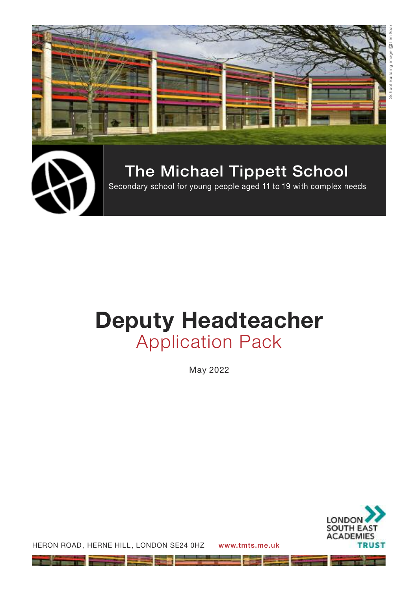

## The Michael Tippett School

Secondary school for young people aged 11 to 19 with complex needs

# **Deputy Headteacher** Application Pack

May 2022



HERON ROAD, HERNE HILL, LONDON SE24 0HZ www.tmts.me.uk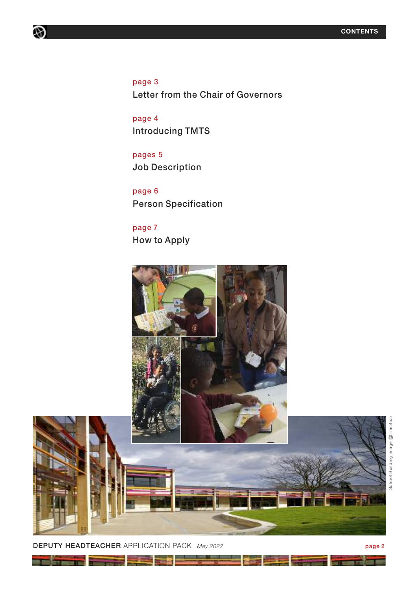R)

page 3 Letter from the Chair of Governors

page 4 Introducing TMTS

pages 5 Job Description

page 6 Person Specification

page 7 How to Apply



DEPUTY HEADTEACHER APPLICATION PACK May 2022 **1998** 2022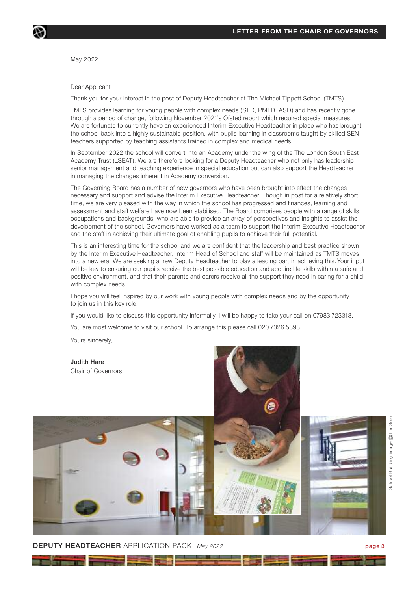May 2022

#### Dear Applicant

Thank you for your interest in the post of Deputy Headteacher at The Michael Tippett School (TMTS).

TMTS provides learning for young people with complex needs (SLD, PMLD, ASD) and has recently gone through a period of change, following November 2021's Ofsted report which required special measures. We are fortunate to currently have an experienced Interim Executive Headteacher in place who has brought the school back into a highly sustainable position, with pupils learning in classrooms taught by skilled SEN teachers supported by teaching assistants trained in complex and medical needs.

In September 2022 the school will convert into an Academy under the wing of the The London South East Academy Trust (LSEAT). We are therefore looking for a Deputy Headteacher who not only has leadership, senior management and teaching experience in special education but can also support the Headteacher in managing the changes inherent in Academy conversion.

The Governing Board has a number of new governors who have been brought into effect the changes necessary and support and advise the Interim Executive Headteacher. Though in post for a relatively short time, we are very pleased with the way in which the school has progressed and finances, learning and assessment and staff welfare have now been stabilised. The Board comprises people with a range of skills, occupations and backgrounds, who are able to provide an array of perspectives and insights to assist the development of the school. Governors have worked as a team to support the Interim Executive Headteacher and the staff in achieving their ultimate goal of enabling pupils to achieve their full potential.

This is an interesting time for the school and we are confident that the leadership and best practice shown by the Interim Executive Headteacher, Interim Head of School and staff will be maintained as TMTS moves into a new era. We are seeking a new Deputy Headteacher to play a leading part in achieving this. Your input will be key to ensuring our pupils receive the best possible education and acquire life skills within a safe and positive environment, and that their parents and carers receive all the support they need in caring for a child with complex needs.

I hope you will feel inspired by our work with young people with complex needs and by the opportunity to join us in this key role.

If you would like to discuss this opportunity informally, I will be happy to take your call on 07983 723313.

You are most welcome to visit our school. To arrange this please call 020 7326 5898.

Yours sincerely,

Judith Hare Chair of Governors

School Bui lding image Tim SoarSchool Building image 翻Tim Soa



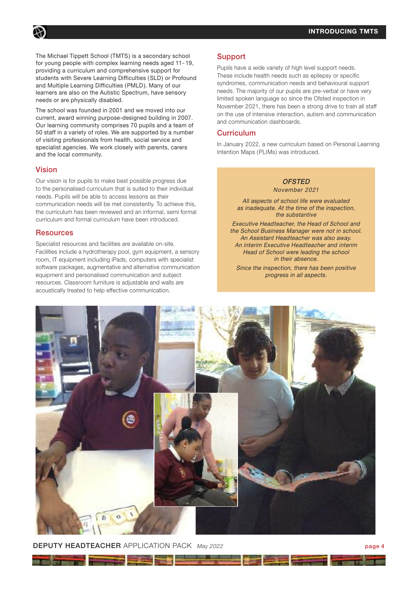The Michael Tippett School (TMTS) is a secondary school for young people with complex learning needs aged 11- 19, providing a curriculum and comprehensive support for students with Severe Learning Difficulties (SLD) or Profound and Multiple Learning Difficulties (PMLD). Many of our learners are also on the Autistic Spectrum, have sensory needs or are physically disabled.

The school was founded in 2001 and we moved into our current, award winning purpose-designed building in 2007. Our learning community comprises 70 pupils and a team of 50 staff in a variety of roles. We are supported by a number of visiting professionals from health, social service and specialist agencies. We work closely with parents, carers and the local community.

## Vision

Our vision is for pupils to make best possible progress due to the personalised curriculum that is suited to their individual needs. Pupils will be able to access lessons as their communication needs will be met consistently. To achieve this, the curriculum has been reviewed and an informal, semi formal curriculum and formal curriculum have been introduced.

#### **Resources**

Specialist resources and facilities are available on-site. Facilities include a hydrotherapy pool, gym equipment, a sensory room, IT equipment including iPads, computers with specialist software packages, augmentative and alternative communication equipment and personalised communication and subject resources. Classroom furniture is adjustable and walls are acoustically treated to help effective communication.

### Support

Pupils have a wide variety of high level support needs. These include health needs such as epilepsy or specific syndromes, communication needs and behavioural support needs. The majority of our pupils are pre-verbal or have very limited spoken language so since the Ofsted inspection in November 2021, there has been a strong drive to train all staff on the use of intensive interaction, autism and communication and communication dashboards.

## **Curriculum**

In January 2022, a new curriculum based on Personal Learning Intention Maps (PLIMs) was introduced.

## **OFSTED**

November 2021

All aspects of school life were evaluated as inadequate. At the time of the inspection, the substantive

Executive Headteacher, the Head of School and the School Business Manager were not in school. An Assistant Headteacher was also away. An interim Executive Headteacher and interim Head of School were leading the school in their absence.

Since the inspection, there has been positive progress in all aspects.



**DEPUTY HEADTEACHER** APPLICATION PACK *May 2022* **page 4 page 4**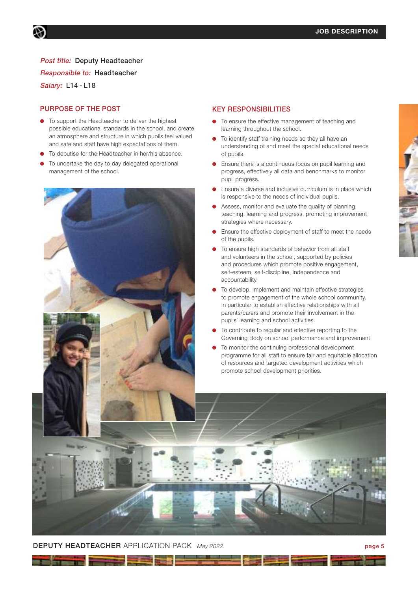## Post title: Deputy Headteacher Responsible to: Headteacher Salary: L14 - L18

## PURPOSE OF THE POST

- **●** To support the Headteacher to deliver the highest possible educational standards in the school, and create an atmosphere and structure in which pupils feel valued and safe and staff have high expectations of them.
- **●** To deputise for the Headteacher in her/his absence.
- To undertake the day to day delegated operational management of the school.



#### KEY RESPONSIBILITIES

- **●** To ensure the effective management of teaching and learning throughout the school.
- **●** To identify staff training needs so they all have an understanding of and meet the special educational needs of pupils.
- **●** Ensure there is a continuous focus on pupil learning and progress, effectively all data and benchmarks to monitor pupil progress.
- **●** Ensure a diverse and inclusive curriculum is in place which is responsive to the needs of individual pupils.
- **●** Assess, monitor and evaluate the quality of planning, teaching, learning and progress, promoting improvement strategies where necessary.
- **●** Ensure the effective deployment of staff to meet the needs of the pupils.
- **●** To ensure high standards of behavior from all staff and volunteers in the school, supported by policies and procedures which promote positive engagement, self-esteem, self-discipline, independence and accountability.
- **●** To develop, implement and maintain effective strategies to promote engagement of the whole school community. In particular to establish effective relationships with all parents/carers and promote their involvement in the pupils' learning and school activities.
- **●** To contribute to regular and effective reporting to the Governing Body on school performance and improvement.
- To monitor the continuing professional development programme for all staff to ensure fair and equitable allocation of resources and targeted development activities which promote school development priorities.

**DEPUTY HEADTEACHER** APPLICATION PACK May 2022 *page 5*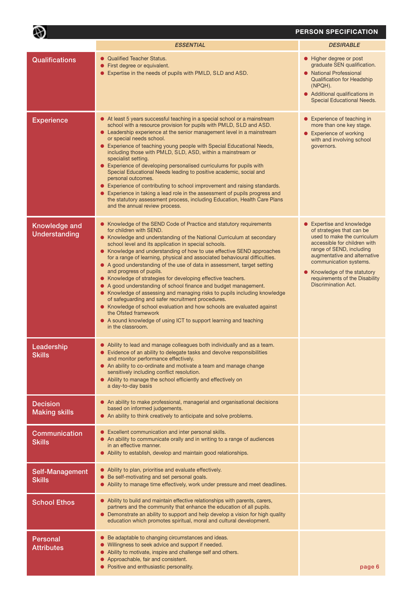$\otimes$ 

## **PERSON SPECIFICATION**

|                                         | <b>ESSENTIAL</b>                                                                                                                                                                                                                                                                                                                                                                                                                                                                                                                                                                                                                                                                                                                                                                                                                                                                                                                                                                    | <b>DESIRABLE</b>                                                                                                                                                                                                                                                                                     |
|-----------------------------------------|-------------------------------------------------------------------------------------------------------------------------------------------------------------------------------------------------------------------------------------------------------------------------------------------------------------------------------------------------------------------------------------------------------------------------------------------------------------------------------------------------------------------------------------------------------------------------------------------------------------------------------------------------------------------------------------------------------------------------------------------------------------------------------------------------------------------------------------------------------------------------------------------------------------------------------------------------------------------------------------|------------------------------------------------------------------------------------------------------------------------------------------------------------------------------------------------------------------------------------------------------------------------------------------------------|
| <b>Qualifications</b>                   | • Qualified Teacher Status.<br>• First degree or equivalent.<br>Expertise in the needs of pupils with PMLD, SLD and ASD.<br>$\bullet$                                                                                                                                                                                                                                                                                                                                                                                                                                                                                                                                                                                                                                                                                                                                                                                                                                               | • Higher degree or post<br>graduate SEN qualification.<br>• National Professional<br><b>Qualification for Headship</b><br>(NPQH).<br>• Additional qualifications in<br><b>Special Educational Needs.</b>                                                                                             |
| <b>Experience</b>                       | • At least 5 years successful teaching in a special school or a mainstream<br>school with a resource provision for pupils with PMLD, SLD and ASD.<br>• Leadership experience at the senior management level in a mainstream<br>or special needs school.<br>• Experience of teaching young people with Special Educational Needs,<br>including those with PMLD, SLD, ASD, within a mainstream or<br>specialist setting.<br>• Experience of developing personalised curriculums for pupils with<br>Special Educational Needs leading to positive academic, social and<br>personal outcomes.<br>• Experience of contributing to school improvement and raising standards.<br>• Experience in taking a lead role in the assessment of pupils progress and<br>the statutory assessment process, including Education, Health Care Plans<br>and the annual review process.                                                                                                                 | Experience of teaching in<br>$\bullet$<br>more than one key stage.<br>• Experience of working<br>with and involving school<br>governors.                                                                                                                                                             |
| Knowledge and<br><b>Understanding</b>   | Knowledge of the SEND Code of Practice and statutory requirements<br>$\bullet$<br>for children with SEND.<br>• Knowledge and understanding of the National Curriculum at secondary<br>school level and its application in special schools.<br>• Knowledge and understanding of how to use effective SEND approaches<br>for a range of learning, physical and associated behavioural difficulties.<br>• A good understanding of the use of data in assessment, target setting<br>and progress of pupils.<br>Knowledge of strategies for developing effective teachers.<br>$\bullet$<br>• A good understanding of school finance and budget management.<br>• Knowledge of assessing and managing risks to pupils including knowledge<br>of safeguarding and safer recruitment procedures.<br>• Knowledge of school evaluation and how schools are evaluated against<br>the Ofsted framework<br>• A sound knowledge of using ICT to support learning and teaching<br>in the classroom. | • Expertise and knowledge<br>of strategies that can be<br>used to make the curriculum<br>accessible for children with<br>range of SEND, including<br>augmentative and alternative<br>communication systems.<br>• Knowledge of the statutory<br>requirements of the Disability<br>Discrimination Act. |
| Leadership<br><b>Skills</b>             | • Ability to lead and manage colleagues both individually and as a team.<br>Evidence of an ability to delegate tasks and devolve responsibilities<br>$\bullet$<br>and monitor performance effectively.<br>• An ability to co-ordinate and motivate a team and manage change<br>sensitively including conflict resolution.<br>• Ability to manage the school efficiently and effectively on<br>a day-to-day basis                                                                                                                                                                                                                                                                                                                                                                                                                                                                                                                                                                    |                                                                                                                                                                                                                                                                                                      |
| <b>Decision</b><br><b>Making skills</b> | • An ability to make professional, managerial and organisational decisions<br>based on informed judgements.<br>• An ability to think creatively to anticipate and solve problems.                                                                                                                                                                                                                                                                                                                                                                                                                                                                                                                                                                                                                                                                                                                                                                                                   |                                                                                                                                                                                                                                                                                                      |
| Communication<br><b>Skills</b>          | • Excellent communication and inter personal skills.<br>• An ability to communicate orally and in writing to a range of audiences<br>in an effective manner.<br>• Ability to establish, develop and maintain good relationships.                                                                                                                                                                                                                                                                                                                                                                                                                                                                                                                                                                                                                                                                                                                                                    |                                                                                                                                                                                                                                                                                                      |
| Self-Management<br><b>Skills</b>        | • Ability to plan, prioritise and evaluate effectively.<br>Be self-motivating and set personal goals.<br>$\bullet$<br>• Ability to manage time effectively, work under pressure and meet deadlines.                                                                                                                                                                                                                                                                                                                                                                                                                                                                                                                                                                                                                                                                                                                                                                                 |                                                                                                                                                                                                                                                                                                      |
| <b>School Ethos</b>                     | • Ability to build and maintain effective relationships with parents, carers,<br>partners and the community that enhance the education of all pupils.<br>• Demonstrate an ability to support and help develop a vision for high quality<br>education which promotes spiritual, moral and cultural development.                                                                                                                                                                                                                                                                                                                                                                                                                                                                                                                                                                                                                                                                      |                                                                                                                                                                                                                                                                                                      |
| <b>Personal</b><br><b>Attributes</b>    | • Be adaptable to changing circumstances and ideas.<br>Willingness to seek advice and support if needed.<br>$\bullet$<br>Ability to motivate, inspire and challenge self and others.<br>$\bullet$<br>Approachable, fair and consistent.<br>$\bullet$<br>• Positive and enthusiastic personality.                                                                                                                                                                                                                                                                                                                                                                                                                                                                                                                                                                                                                                                                                    | page 6                                                                                                                                                                                                                                                                                               |